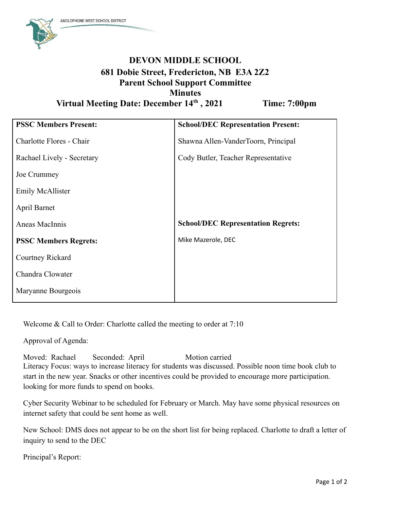

## **DEVON MIDDLE SCHOOL 681 Dobie Street, Fredericton, NB E3A 2Z2 Parent School Support Committee Minutes Virtual Meeting Date: December 14 th**

**, 2021 Time: 7:00pm**

| <b>PSSC Members Present:</b> | <b>School/DEC Representation Present:</b> |
|------------------------------|-------------------------------------------|
| Charlotte Flores - Chair     | Shawna Allen-VanderToorn, Principal       |
| Rachael Lively - Secretary   | Cody Butler, Teacher Representative       |
| Joe Crummey                  |                                           |
| <b>Emily McAllister</b>      |                                           |
| April Barnet                 |                                           |
| Aneas MacInnis               | <b>School/DEC Representation Regrets:</b> |
| <b>PSSC Members Regrets:</b> | Mike Mazerole, DEC                        |
| Courtney Rickard             |                                           |
| Chandra Clowater             |                                           |
| Maryanne Bourgeois           |                                           |

Welcome & Call to Order: Charlotte called the meeting to order at 7:10

Approval of Agenda:

Moved: Rachael Seconded: April Motion carried Literacy Focus: ways to increase literacy for students was discussed. Possible noon time book club to start in the new year. Snacks or other incentives could be provided to encourage more participation. looking for more funds to spend on books.

Cyber Security Webinar to be scheduled for February or March. May have some physical resources on internet safety that could be sent home as well.

New School: DMS does not appear to be on the short list for being replaced. Charlotte to draft a letter of inquiry to send to the DEC

Principal's Report: